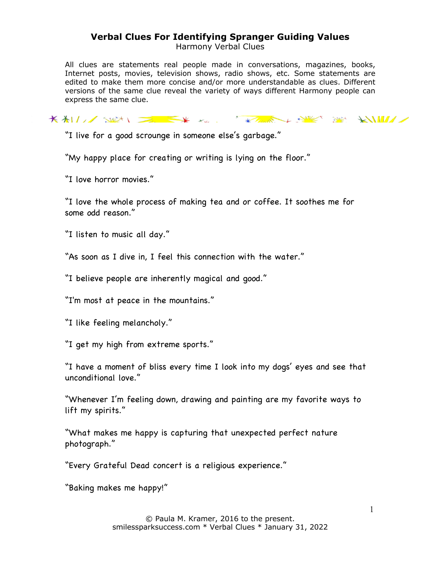Harmony Verbal Clues

All clues are statements real people made in conversations, magazines, books, Internet posts, movies, television shows, radio shows, etc. Some statements are edited to make them more concise and/or more understandable as clues. Different versions of the same clue reveal the variety of ways different Harmony people can express the same clue.

KALL SEN EXTREMELY SERVER SERVER

"I live for a good scrounge in someone else's garbage."

"My happy place for creating or writing is lying on the floor."

"I love horror movies."

"I love the whole process of making tea and or coffee. It soothes me for some odd reason."

"I listen to music all day."

"As soon as I dive in, I feel this connection with the water."

"I believe people are inherently magical and good."

"I'm most at peace in the mountains."

"I like feeling melancholy."

"I get my high from extreme sports."

"I have a moment of bliss every time I look into my dogs' eyes and see that unconditional love."

"Whenever I'm feeling down, drawing and painting are my favorite ways to lift my spirits."

"What makes me happy is capturing that unexpected perfect nature photograph."

"Every Grateful Dead concert is a religious experience."

"Baking makes me happy!"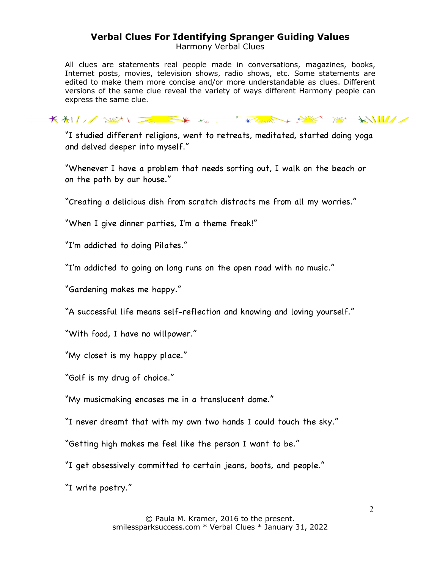Harmony Verbal Clues

All clues are statements real people made in conversations, magazines, books, Internet posts, movies, television shows, radio shows, etc. Some statements are edited to make them more concise and/or more understandable as clues. Different versions of the same clue reveal the variety of ways different Harmony people can express the same clue.

KALL SEN EXTREMELY SERVER SERVER

"I studied different religions, went to retreats, meditated, started doing yoga and delved deeper into myself."

"Whenever I have a problem that needs sorting out, I walk on the beach or on the path by our house."

"Creating a delicious dish from scratch distracts me from all my worries."

"When I give dinner parties, I'm a theme freak!"

"I'm addicted to doing Pilates."

"I'm addicted to going on long runs on the open road with no music."

"Gardening makes me happy."

"A successful life means self-reflection and knowing and loving yourself."

"With food, I have no willpower."

"My closet is my happy place."

"Golf is my drug of choice."

"My musicmaking encases me in a translucent dome."

"I never dreamt that with my own two hands I could touch the sky."

"Getting high makes me feel like the person I want to be."

"I get obsessively committed to certain jeans, boots, and people."

"I write poetry."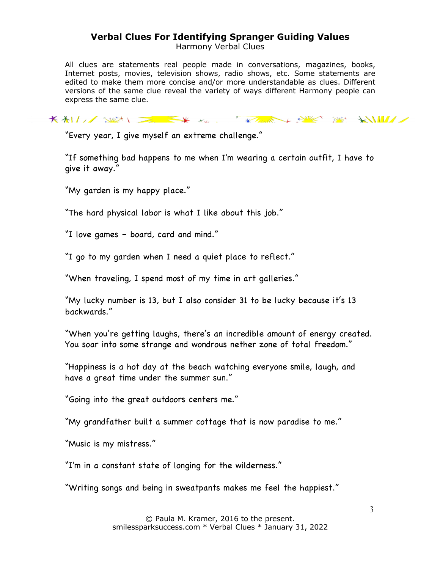Harmony Verbal Clues

All clues are statements real people made in conversations, magazines, books, Internet posts, movies, television shows, radio shows, etc. Some statements are edited to make them more concise and/or more understandable as clues. Different versions of the same clue reveal the variety of ways different Harmony people can express the same clue.

KALL SEN EXTREMELY SERVER SERVER

"Every year, I give myself an extreme challenge."

"If something bad happens to me when I'm wearing a certain outfit, I have to give it away."

"My garden is my happy place."

"The hard physical labor is what I like about this job."

"I love games – board, card and mind."

"I go to my garden when I need a quiet place to reflect."

"When traveling, I spend most of my time in art galleries."

"My lucky number is 13, but I also consider 31 to be lucky because it's 13 backwards."

"When you're getting laughs, there's an incredible amount of energy created. You soar into some strange and wondrous nether zone of total freedom."

"Happiness is a hot day at the beach watching everyone smile, laugh, and have a great time under the summer sun."

"Going into the great outdoors centers me."

"My grandfather built a summer cottage that is now paradise to me."

"Music is my mistress."

"I'm in a constant state of longing for the wilderness."

"Writing songs and being in sweatpants makes me feel the happiest."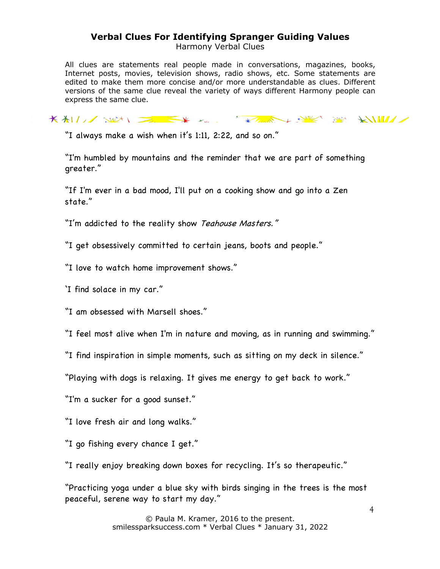Harmony Verbal Clues

All clues are statements real people made in conversations, magazines, books, Internet posts, movies, television shows, radio shows, etc. Some statements are edited to make them more concise and/or more understandable as clues. Different versions of the same clue reveal the variety of ways different Harmony people can express the same clue.

KALL SEN EXTREMELY SERVER SERVER

"I always make a wish when it's 1:11, 2:22, and so on."

"I'm humbled by mountains and the reminder that we are part of something greater."

"If I'm ever in a bad mood, I'll put on a cooking show and go into a Zen state."

"I'm addicted to the reality show Teahouse Masters."

"I get obsessively committed to certain jeans, boots and people."

- "I love to watch home improvement shows."
- 'I find solace in my car."

"I am obsessed with Marsell shoes."

"I feel most alive when I'm in nature and moving, as in running and swimming."

"I find inspiration in simple moments, such as sitting on my deck in silence."

"Playing with dogs is relaxing. It gives me energy to get back to work."

"I'm a sucker for a good sunset."

"I love fresh air and long walks."

"I go fishing every chance I get."

"I really enjoy breaking down boxes for recycling. It's so therapeutic."

"Practicing yoga under a blue sky with birds singing in the trees is the most peaceful, serene way to start my day."

> © Paula M. Kramer, 2016 to the present. smilessparksuccess.com \* Verbal Clues \* January 31, 2022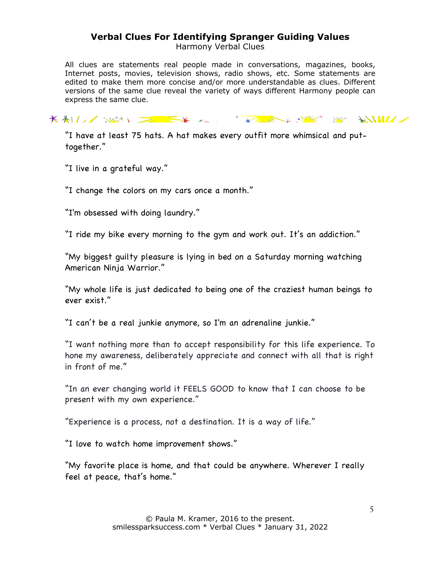Harmony Verbal Clues

All clues are statements real people made in conversations, magazines, books, Internet posts, movies, television shows, radio shows, etc. Some statements are edited to make them more concise and/or more understandable as clues. Different versions of the same clue reveal the variety of ways different Harmony people can express the same clue.

KALL SEN EXTREMELY SERVER SERVER

"I have at least 75 hats. A hat makes every outfit more whimsical and puttogether."

"I live in a grateful way."

"I change the colors on my cars once a month."

"I'm obsessed with doing laundry."

"I ride my bike every morning to the gym and work out. It's an addiction."

"My biggest guilty pleasure is lying in bed on a Saturday morning watching American Ninja Warrior."

"My whole life is just dedicated to being one of the craziest human beings to ever exist."

"I can't be a real junkie anymore, so I'm an adrenaline junkie."

"I want nothing more than to accept responsibility for this life experience. To hone my awareness, deliberately appreciate and connect with all that is right in front of me."

"In an ever changing world it FEELS GOOD to know that I can choose to be present with my own experience."

"Experience is a process, not a destination. It is a way of life."

"I love to watch home improvement shows."

"My favorite place is home, and that could be anywhere. Wherever I really feel at peace, that's home."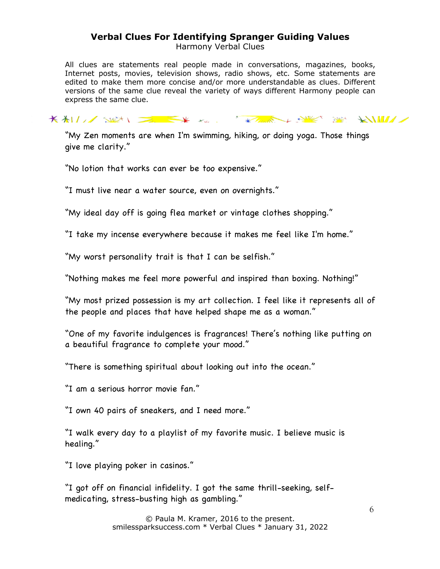Harmony Verbal Clues

All clues are statements real people made in conversations, magazines, books, Internet posts, movies, television shows, radio shows, etc. Some statements are edited to make them more concise and/or more understandable as clues. Different versions of the same clue reveal the variety of ways different Harmony people can express the same clue.

KALL SEN EXTREMELY SERVER SERVER

"My Zen moments are when I'm swimming, hiking, or doing yoga. Those things give me clarity."

"No lotion that works can ever be too expensive."

"I must live near a water source, even on overnights."

"My ideal day off is going flea market or vintage clothes shopping."

"I take my incense everywhere because it makes me feel like I'm home."

"My worst personality trait is that I can be selfish."

"Nothing makes me feel more powerful and inspired than boxing. Nothing!"

"My most prized possession is my art collection. I feel like it represents all of the people and places that have helped shape me as a woman."

"One of my favorite indulgences is fragrances! There's nothing like putting on a beautiful fragrance to complete your mood."

"There is something spiritual about looking out into the ocean."

"I am a serious horror movie fan."

"I own 40 pairs of sneakers, and I need more."

"I walk every day to a playlist of my favorite music. I believe music is healing."

"I love playing poker in casinos."

"I got off on financial infidelity. I got the same thrill-seeking, selfmedicating, stress-busting high as gambling."

> © Paula M. Kramer, 2016 to the present. smilessparksuccess.com \* Verbal Clues \* January 31, 2022